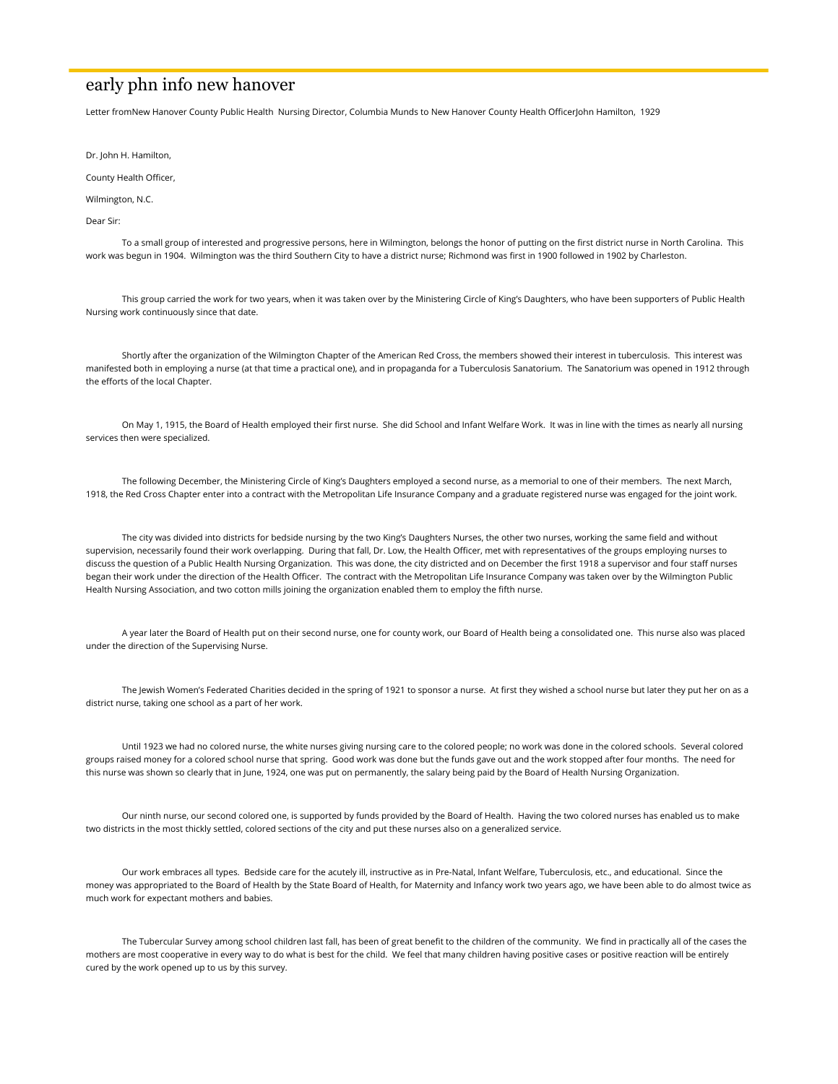# early phn info new hanover

Letter fromNew Hanover County Public Health Nursing Director, Columbia Munds to New Hanover County Health OfficerJohn Hamilton, 1929

Dr. John H. Hamilton,

County Health Officer,

Wilmington, N.C.

Dear Sir:

 To a small group of interested and progressive persons, here in Wilmington, belongs the honor of putting on the first district nurse in North Carolina. This work was begun in 1904. Wilmington was the third Southern City to have a district nurse; Richmond was first in 1900 followed in 1902 by Charleston.

 This group carried the work for two years, when it was taken over by the Ministering Circle of King's Daughters, who have been supporters of Public Health Nursing work continuously since that date.

 Shortly after the organization of the Wilmington Chapter of the American Red Cross, the members showed their interest in tuberculosis. This interest was manifested both in employing a nurse (at that time a practical one), and in propaganda for a Tuberculosis Sanatorium. The Sanatorium was opened in 1912 through the efforts of the local Chapter.

 On May 1, 1915, the Board of Health employed their first nurse. She did School and Infant Welfare Work. It was in line with the times as nearly all nursing services then were specialized.

 The following December, the Ministering Circle of King's Daughters employed a second nurse, as a memorial to one of their members. The next March, 1918, the Red Cross Chapter enter into a contract with the Metropolitan Life Insurance Company and a graduate registered nurse was engaged for the joint work.

 The city was divided into districts for bedside nursing by the two King's Daughters Nurses, the other two nurses, working the same field and without supervision, necessarily found their work overlapping. During that fall, Dr. Low, the Health Officer, met with representatives of the groups employing nurses to discuss the question of a Public Health Nursing Organization. This was done, the city districted and on December the first 1918 a supervisor and four staff nurses began their work under the direction of the Health Officer. The contract with the Metropolitan Life Insurance Company was taken over by the Wilmington Public Health Nursing Association, and two cotton mills joining the organization enabled them to employ the fifth nurse.

 A year later the Board of Health put on their second nurse, one for county work, our Board of Health being a consolidated one. This nurse also was placed under the direction of the Supervising Nurse.

 The Jewish Women's Federated Charities decided in the spring of 1921 to sponsor a nurse. At first they wished a school nurse but later they put her on as a district nurse, taking one school as a part of her work.

 Until 1923 we had no colored nurse, the white nurses giving nursing care to the colored people; no work was done in the colored schools. Several colored groups raised money for a colored school nurse that spring. Good work was done but the funds gave out and the work stopped after four months. The need for this nurse was shown so clearly that in June, 1924, one was put on permanently, the salary being paid by the Board of Health Nursing Organization.

 Our ninth nurse, our second colored one, is supported by funds provided by the Board of Health. Having the two colored nurses has enabled us to make two districts in the most thickly settled, colored sections of the city and put these nurses also on a generalized service.

 Our work embraces all types. Bedside care for the acutely ill, instructive as in Pre-Natal, Infant Welfare, Tuberculosis, etc., and educational. Since the money was appropriated to the Board of Health by the State Board of Health, for Maternity and Infancy work two years ago, we have been able to do almost twice as much work for expectant mothers and babies.

 The Tubercular Survey among school children last fall, has been of great benefit to the children of the community. We find in practically all of the cases the mothers are most cooperative in every way to do what is best for the child. We feel that many children having positive cases or positive reaction will be entirely cured by the work opened up to us by this survey.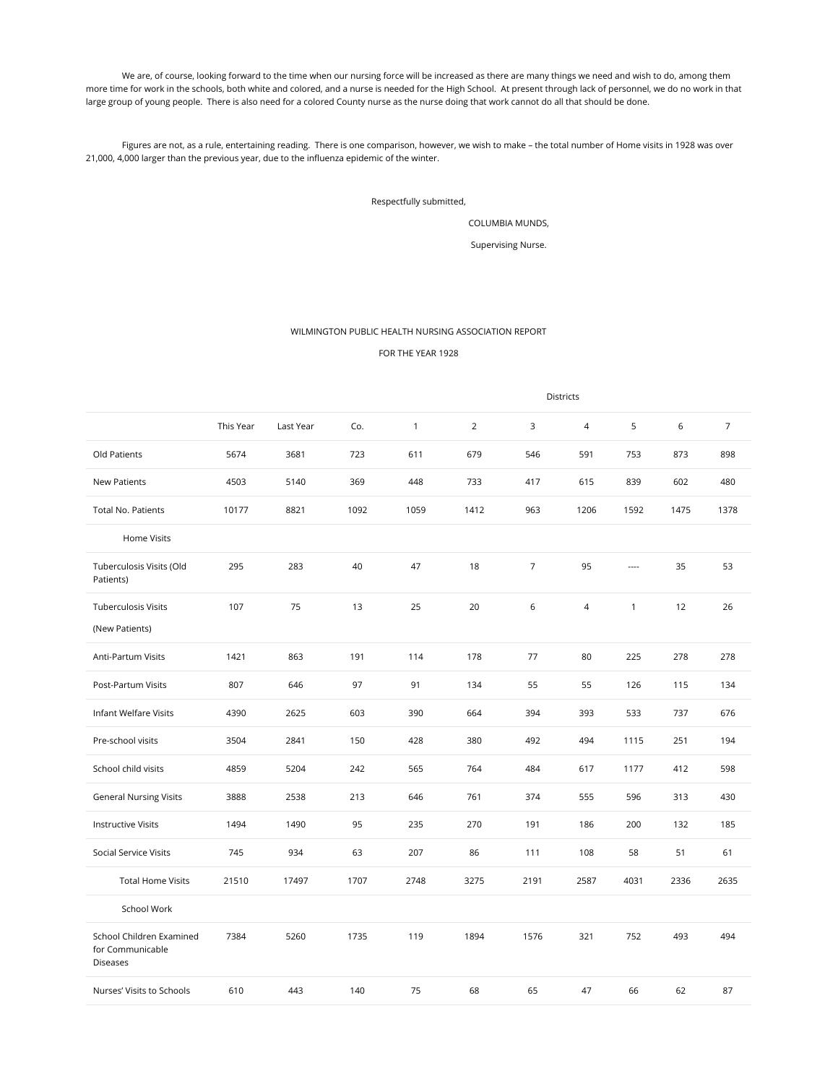We are, of course, looking forward to the time when our nursing force will be increased as there are many things we need and wish to do, among them more time for work in the schools, both white and colored, and a nurse is needed for the High School. At present through lack of personnel, we do no work in that large group of young people. There is also need for a colored County nurse as the nurse doing that work cannot do all that should be done.

 Figures are not, as a rule, entertaining reading. There is one comparison, however, we wish to make – the total number of Home visits in 1928 was over 21,000, 4,000 larger than the previous year, due to the influenza epidemic of the winter.

## Respectfully submitted,

### COLUMBIA MUNDS,

Supervising Nurse.

## WILMINGTON PUBLIC HEALTH NURSING ASSOCIATION REPORT

### FOR THE YEAR 1928

|                                                                 | Districts |           |      |              |                |                |                |              |      |                |
|-----------------------------------------------------------------|-----------|-----------|------|--------------|----------------|----------------|----------------|--------------|------|----------------|
|                                                                 | This Year | Last Year | Co.  | $\mathbf{1}$ | $\overline{2}$ | 3              | $\overline{4}$ | 5            | 6    | $\overline{7}$ |
| Old Patients                                                    | 5674      | 3681      | 723  | 611          | 679            | 546            | 591            | 753          | 873  | 898            |
| <b>New Patients</b>                                             | 4503      | 5140      | 369  | 448          | 733            | 417            | 615            | 839          | 602  | 480            |
| <b>Total No. Patients</b>                                       | 10177     | 8821      | 1092 | 1059         | 1412           | 963            | 1206           | 1592         | 1475 | 1378           |
| Home Visits                                                     |           |           |      |              |                |                |                |              |      |                |
| Tuberculosis Visits (Old<br>Patients)                           | 295       | 283       | 40   | 47           | 18             | $\overline{7}$ | 95             | ----         | 35   | 53             |
| <b>Tuberculosis Visits</b><br>(New Patients)                    | 107       | 75        | 13   | 25           | 20             | 6              | $\overline{4}$ | $\mathbf{1}$ | 12   | 26             |
| Anti-Partum Visits                                              | 1421      | 863       | 191  | 114          | 178            | 77             | 80             | 225          | 278  | 278            |
| Post-Partum Visits                                              | 807       | 646       | 97   | 91           | 134            | 55             | 55             | 126          | 115  | 134            |
| Infant Welfare Visits                                           | 4390      | 2625      | 603  | 390          | 664            | 394            | 393            | 533          | 737  | 676            |
| Pre-school visits                                               | 3504      | 2841      | 150  | 428          | 380            | 492            | 494            | 1115         | 251  | 194            |
| School child visits                                             | 4859      | 5204      | 242  | 565          | 764            | 484            | 617            | 1177         | 412  | 598            |
| <b>General Nursing Visits</b>                                   | 3888      | 2538      | 213  | 646          | 761            | 374            | 555            | 596          | 313  | 430            |
| <b>Instructive Visits</b>                                       | 1494      | 1490      | 95   | 235          | 270            | 191            | 186            | 200          | 132  | 185            |
| Social Service Visits                                           | 745       | 934       | 63   | 207          | 86             | 111            | 108            | 58           | 51   | 61             |
| <b>Total Home Visits</b>                                        | 21510     | 17497     | 1707 | 2748         | 3275           | 2191           | 2587           | 4031         | 2336 | 2635           |
| School Work                                                     |           |           |      |              |                |                |                |              |      |                |
| School Children Examined<br>for Communicable<br><b>Diseases</b> | 7384      | 5260      | 1735 | 119          | 1894           | 1576           | 321            | 752          | 493  | 494            |
| Nurses' Visits to Schools                                       | 610       | 443       | 140  | 75           | 68             | 65             | 47             | 66           | 62   | 87             |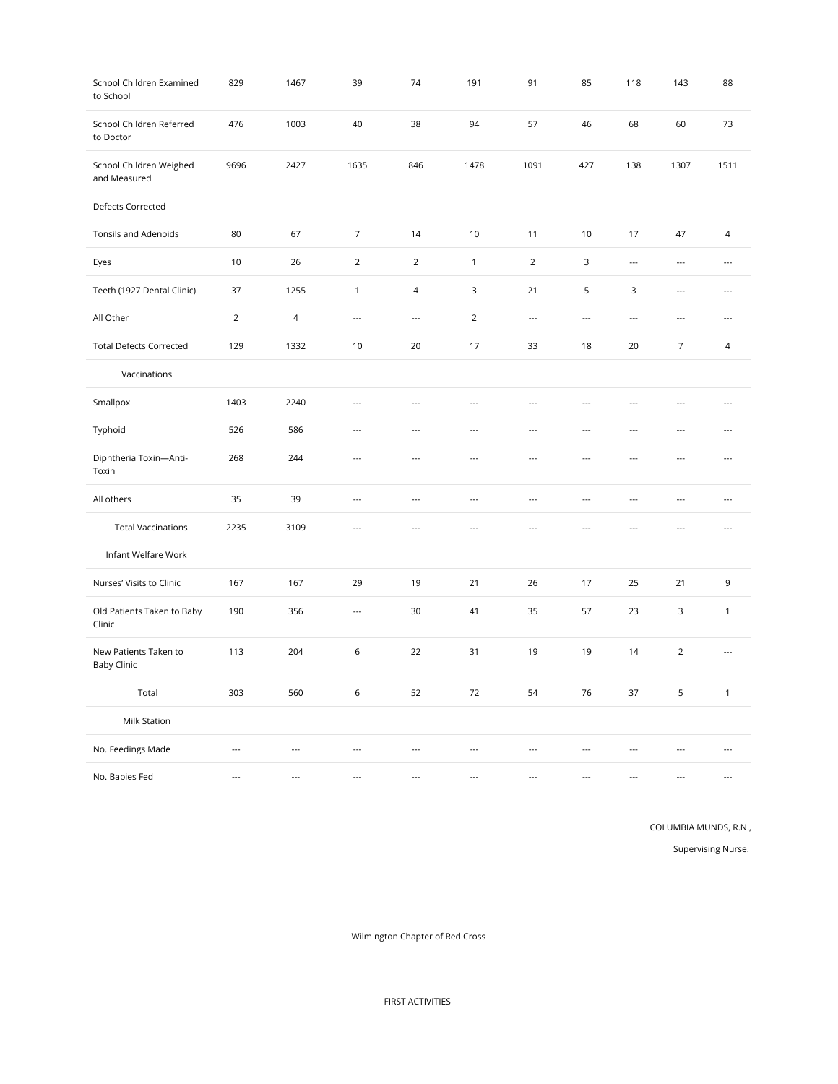| School Children Examined<br>to School       | 829                      | 1467                     | 39                       | 74                       | 191                      | 91                       | 85                       | 118                      | 143                      | 88                       |
|---------------------------------------------|--------------------------|--------------------------|--------------------------|--------------------------|--------------------------|--------------------------|--------------------------|--------------------------|--------------------------|--------------------------|
| School Children Referred<br>to Doctor       | 476                      | 1003                     | 40                       | 38                       | 94                       | 57                       | 46                       | 68                       | 60                       | 73                       |
| School Children Weighed<br>and Measured     | 9696                     | 2427                     | 1635                     | 846                      | 1478                     | 1091                     | 427                      | 138                      | 1307                     | 1511                     |
| Defects Corrected                           |                          |                          |                          |                          |                          |                          |                          |                          |                          |                          |
| <b>Tonsils and Adenoids</b>                 | 80                       | 67                       | $\overline{7}$           | 14                       | 10                       | 11                       | $10$                     | 17                       | 47                       | $\overline{4}$           |
| Eyes                                        | 10                       | 26                       | 2                        | $\overline{2}$           | $\mathbf{1}$             | $\overline{2}$           | 3                        | ---                      | ---                      | $\overline{\phantom{a}}$ |
| Teeth (1927 Dental Clinic)                  | 37                       | 1255                     | $\mathbf{1}$             | $\overline{\mathcal{L}}$ | 3                        | 21                       | 5                        | $\mathbf{3}$             | $\hspace{0.05cm} \cdots$ | $\overline{a}$           |
| All Other                                   | $\overline{2}$           | $\sqrt{4}$               | $\overline{\phantom{a}}$ | $\overline{\phantom{a}}$ | $\overline{2}$           | $\overline{\phantom{a}}$ | $\overline{\phantom{a}}$ | ---                      | $\overline{\phantom{a}}$ | $\overline{a}$           |
| <b>Total Defects Corrected</b>              | 129                      | 1332                     | 10                       | 20                       | 17                       | 33                       | 18                       | 20                       | $\overline{7}$           | $\overline{4}$           |
| Vaccinations                                |                          |                          |                          |                          |                          |                          |                          |                          |                          |                          |
| Smallpox                                    | 1403                     | 2240                     | $\overline{\phantom{a}}$ | $\ddot{\phantom{1}}$     | $\ddot{\phantom{1}}$     | ---                      | ---                      | ---                      | ---                      | ---                      |
| Typhoid                                     | 526                      | 586                      | $\overline{\phantom{a}}$ | $\overline{\phantom{a}}$ | $\overline{a}$           | ---                      | $\overline{\phantom{a}}$ | $\overline{\phantom{a}}$ | ---                      | $\overline{a}$           |
| Diphtheria Toxin-Anti-<br>Toxin             | 268                      | 244                      | $\overline{a}$           | $\overline{a}$           | $\overline{\phantom{a}}$ | $\overline{a}$           | $\overline{a}$           | $\overline{a}$           | ---                      | $\overline{a}$           |
| All others                                  | 35                       | 39                       | $\overline{a}$           | $\overline{a}$           | $\overline{a}$           | $\overline{a}$           | $\overline{a}$           | $\overline{a}$           | $\overline{a}$           | $\overline{a}$           |
| <b>Total Vaccinations</b>                   | 2235                     | 3109                     | $\overline{a}$           | $\overline{a}$           | $\overline{\phantom{a}}$ | $\overline{\phantom{a}}$ | $\overline{a}$           | $\overline{\phantom{a}}$ | $\overline{a}$           | $\overline{a}$           |
| Infant Welfare Work                         |                          |                          |                          |                          |                          |                          |                          |                          |                          |                          |
| Nurses' Visits to Clinic                    | 167                      | 167                      | 29                       | 19                       | 21                       | 26                       | 17                       | 25                       | 21                       | 9                        |
| Old Patients Taken to Baby<br>Clinic        | 190                      | 356                      | $\overline{\phantom{a}}$ | 30                       | 41                       | 35                       | 57                       | 23                       | 3                        | $\mathbf{1}$             |
| New Patients Taken to<br><b>Baby Clinic</b> | 113                      | 204                      | $\,$ 6 $\,$              | 22                       | 31                       | 19                       | 19                       | 14                       | $\overline{2}$           | $\overline{\phantom{a}}$ |
| Total                                       | 303                      | 560                      | 6                        | 52                       | 72                       | 54                       | 76                       | 37                       | 5                        | $\mathbf{1}$             |
| Milk Station                                |                          |                          |                          |                          |                          |                          |                          |                          |                          |                          |
| No. Feedings Made                           | $\overline{\phantom{a}}$ | $\overline{\phantom{a}}$ | $\overline{a}$           | $\overline{\phantom{a}}$ | $\overline{\phantom{a}}$ | ---                      | $\overline{a}$           | ---                      | ---                      | $\overline{a}$           |
| No. Babies Fed                              | ---                      | $\overline{a}$           | $\overline{a}$           | $\overline{a}$           | $\overline{a}$           | $\overline{a}$           | ---                      | $\overline{a}$           | ---                      | $\overline{a}$           |

COLUMBIA MUNDS, R.N.,

Supervising Nurse.

Wilmington Chapter of Red Cross